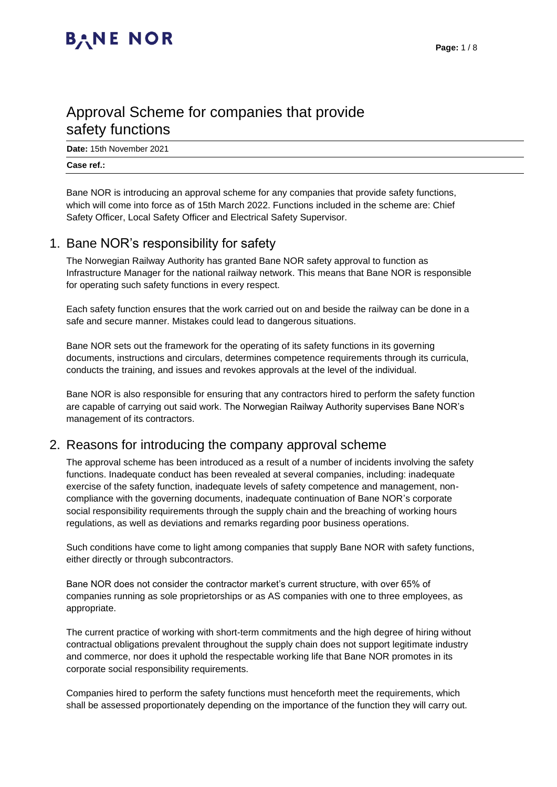## Approval Scheme for companies that provide safety functions

**Date:** 15th November 2021

#### **Case ref.:**

Bane NOR is introducing an approval scheme for any companies that provide safety functions, which will come into force as of 15th March 2022. Functions included in the scheme are: Chief Safety Officer, Local Safety Officer and Electrical Safety Supervisor.

#### 1. Bane NOR's responsibility for safety

The Norwegian Railway Authority has granted Bane NOR safety approval to function as Infrastructure Manager for the national railway network. This means that Bane NOR is responsible for operating such safety functions in every respect.

Each safety function ensures that the work carried out on and beside the railway can be done in a safe and secure manner. Mistakes could lead to dangerous situations.

Bane NOR sets out the framework for the operating of its safety functions in its governing documents, instructions and circulars, determines competence requirements through its curricula, conducts the training, and issues and revokes approvals at the level of the individual.

Bane NOR is also responsible for ensuring that any contractors hired to perform the safety function are capable of carrying out said work. The Norwegian Railway Authority supervises Bane NOR's management of its contractors.

#### 2. Reasons for introducing the company approval scheme

The approval scheme has been introduced as a result of a number of incidents involving the safety functions. Inadequate conduct has been revealed at several companies, including: inadequate exercise of the safety function, inadequate levels of safety competence and management, noncompliance with the governing documents, inadequate continuation of Bane NOR's corporate social responsibility requirements through the supply chain and the breaching of working hours regulations, as well as deviations and remarks regarding poor business operations.

Such conditions have come to light among companies that supply Bane NOR with safety functions, either directly or through subcontractors.

Bane NOR does not consider the contractor market's current structure, with over 65% of companies running as sole proprietorships or as AS companies with one to three employees, as appropriate.

The current practice of working with short-term commitments and the high degree of hiring without contractual obligations prevalent throughout the supply chain does not support legitimate industry and commerce, nor does it uphold the respectable working life that Bane NOR promotes in its corporate social responsibility requirements.

Companies hired to perform the safety functions must henceforth meet the requirements, which shall be assessed proportionately depending on the importance of the function they will carry out.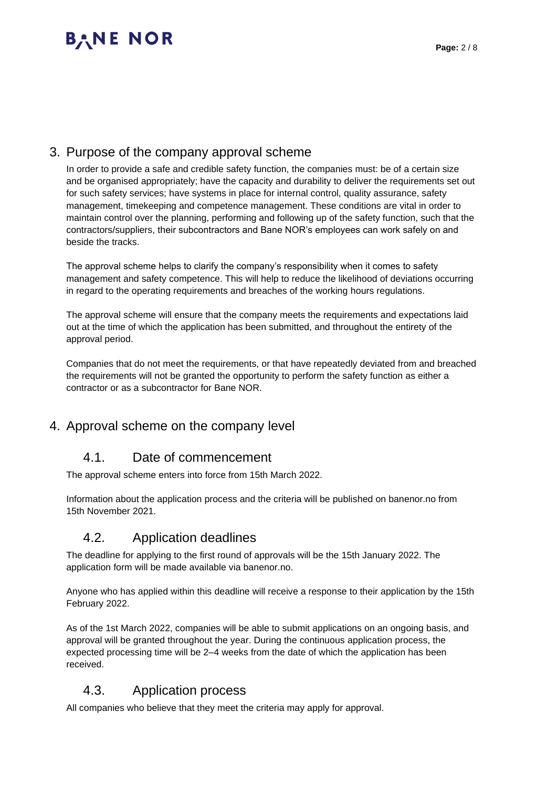### 3. Purpose of the company approval scheme

In order to provide a safe and credible safety function, the companies must: be of a certain size and be organised appropriately; have the capacity and durability to deliver the requirements set out for such safety services; have systems in place for internal control, quality assurance, safety management, timekeeping and competence management. These conditions are vital in order to maintain control over the planning, performing and following up of the safety function, such that the contractors/suppliers, their subcontractors and Bane NOR's employees can work safely on and beside the tracks.

The approval scheme helps to clarify the company's responsibility when it comes to safety management and safety competence. This will help to reduce the likelihood of deviations occurring in regard to the operating requirements and breaches of the working hours regulations.

The approval scheme will ensure that the company meets the requirements and expectations laid out at the time of which the application has been submitted, and throughout the entirety of the approval period.

Companies that do not meet the requirements, or that have repeatedly deviated from and breached the requirements will not be granted the opportunity to perform the safety function as either a contractor or as a subcontractor for Bane NOR.

### 4. Approval scheme on the company level

#### 4.1. Date of commencement

The approval scheme enters into force from 15th March 2022.

Information about the application process and the criteria will be published on banenor.no from 15th November 2021.

#### 4.2. Application deadlines

The deadline for applying to the first round of approvals will be the 15th January 2022. The application form will be made available via banenor.no.

Anyone who has applied within this deadline will receive a response to their application by the 15th February 2022.

As of the 1st March 2022, companies will be able to submit applications on an ongoing basis, and approval will be granted throughout the year. During the continuous application process, the expected processing time will be 2–4 weeks from the date of which the application has been received.

#### 4.3. Application process

All companies who believe that they meet the criteria may apply for approval.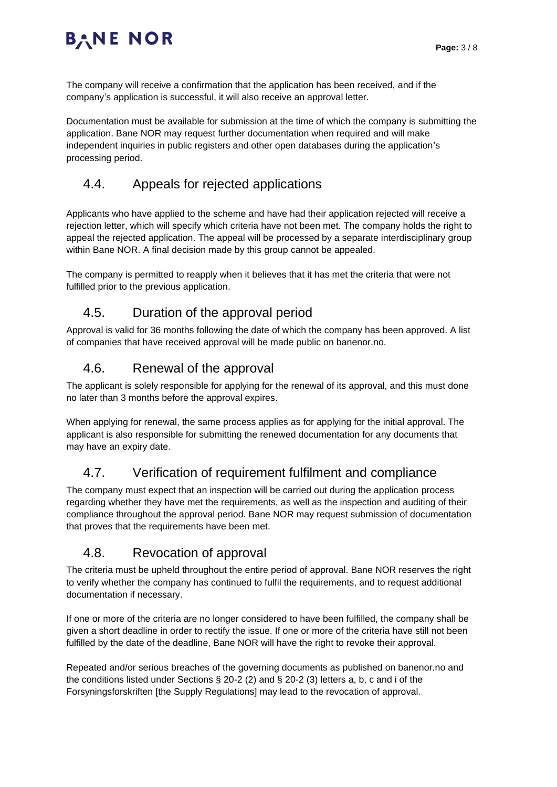The company will receive a confirmation that the application has been received, and if the company's application is successful, it will also receive an approval letter.

Documentation must be available for submission at the time of which the company is submitting the application. Bane NOR may request further documentation when required and will make independent inquiries in public registers and other open databases during the application's processing period.

### 4.4. Appeals for rejected applications

Applicants who have applied to the scheme and have had their application rejected will receive a rejection letter, which will specify which criteria have not been met. The company holds the right to appeal the rejected application. The appeal will be processed by a separate interdisciplinary group within Bane NOR. A final decision made by this group cannot be appealed.

The company is permitted to reapply when it believes that it has met the criteria that were not fulfilled prior to the previous application.

### 4.5. Duration of the approval period

Approval is valid for 36 months following the date of which the company has been approved. A list of companies that have received approval will be made public on banenor.no.

### 4.6. Renewal of the approval

The applicant is solely responsible for applying for the renewal of its approval, and this must done no later than 3 months before the approval expires.

When applying for renewal, the same process applies as for applying for the initial approval. The applicant is also responsible for submitting the renewed documentation for any documents that may have an expiry date.

### 4.7. Verification of requirement fulfilment and compliance

The company must expect that an inspection will be carried out during the application process regarding whether they have met the requirements, as well as the inspection and auditing of their compliance throughout the approval period. Bane NOR may request submission of documentation that proves that the requirements have been met.

#### 4.8. Revocation of approval

The criteria must be upheld throughout the entire period of approval. Bane NOR reserves the right to verify whether the company has continued to fulfil the requirements, and to request additional documentation if necessary.

If one or more of the criteria are no longer considered to have been fulfilled, the company shall be given a short deadline in order to rectify the issue. If one or more of the criteria have still not been fulfilled by the date of the deadline, Bane NOR will have the right to revoke their approval.

Repeated and/or serious breaches of the governing documents as published on banenor.no and the conditions listed under Sections § 20-2 (2) and § 20-2 (3) letters a, b, c and i of the Forsyningsforskriften [the Supply Regulations] may lead to the revocation of approval.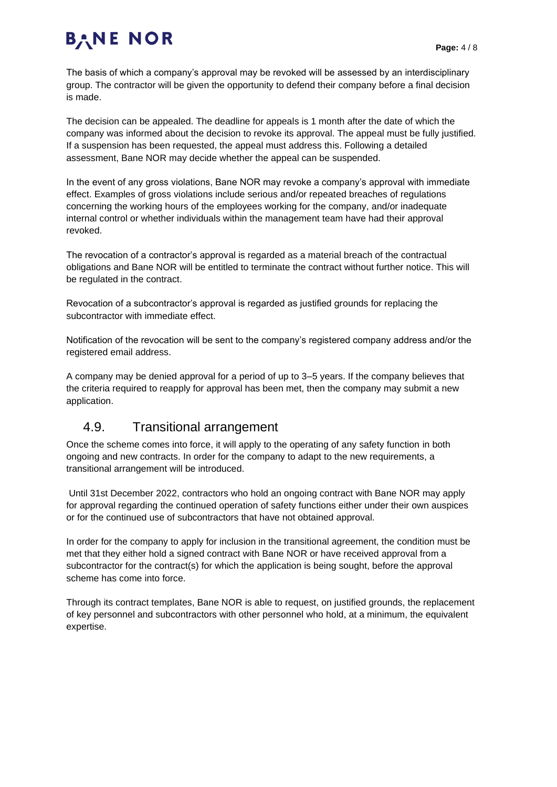The basis of which a company's approval may be revoked will be assessed by an interdisciplinary group. The contractor will be given the opportunity to defend their company before a final decision is made.

The decision can be appealed. The deadline for appeals is 1 month after the date of which the company was informed about the decision to revoke its approval. The appeal must be fully justified. If a suspension has been requested, the appeal must address this. Following a detailed assessment, Bane NOR may decide whether the appeal can be suspended.

In the event of any gross violations, Bane NOR may revoke a company's approval with immediate effect. Examples of gross violations include serious and/or repeated breaches of regulations concerning the working hours of the employees working for the company, and/or inadequate internal control or whether individuals within the management team have had their approval revoked.

The revocation of a contractor's approval is regarded as a material breach of the contractual obligations and Bane NOR will be entitled to terminate the contract without further notice. This will be regulated in the contract.

Revocation of a subcontractor's approval is regarded as justified grounds for replacing the subcontractor with immediate effect.

Notification of the revocation will be sent to the company's registered company address and/or the registered email address.

A company may be denied approval for a period of up to 3–5 years. If the company believes that the criteria required to reapply for approval has been met, then the company may submit a new application.

#### 4.9. Transitional arrangement

Once the scheme comes into force, it will apply to the operating of any safety function in both ongoing and new contracts. In order for the company to adapt to the new requirements, a transitional arrangement will be introduced.

Until 31st December 2022, contractors who hold an ongoing contract with Bane NOR may apply for approval regarding the continued operation of safety functions either under their own auspices or for the continued use of subcontractors that have not obtained approval.

In order for the company to apply for inclusion in the transitional agreement, the condition must be met that they either hold a signed contract with Bane NOR or have received approval from a subcontractor for the contract(s) for which the application is being sought, before the approval scheme has come into force.

Through its contract templates, Bane NOR is able to request, on justified grounds, the replacement of key personnel and subcontractors with other personnel who hold, at a minimum, the equivalent expertise.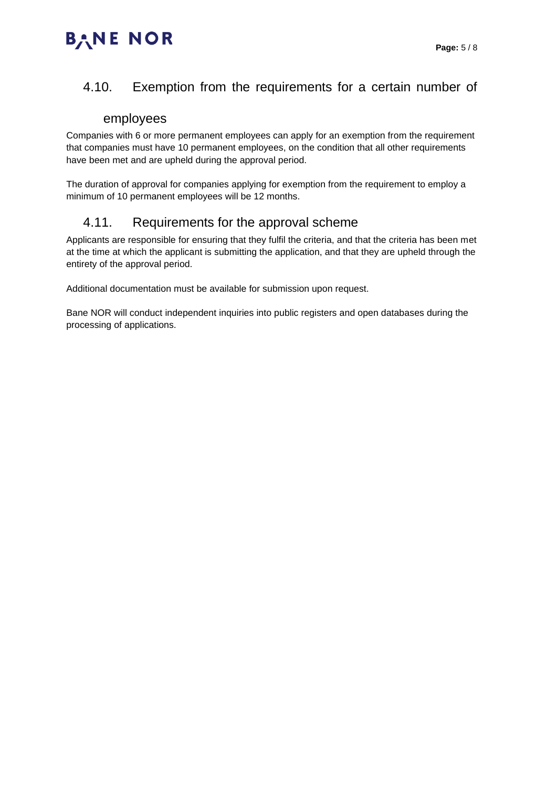### 4.10. Exemption from the requirements for a certain number of

#### employees

Companies with 6 or more permanent employees can apply for an exemption from the requirement that companies must have 10 permanent employees, on the condition that all other requirements have been met and are upheld during the approval period.

The duration of approval for companies applying for exemption from the requirement to employ a minimum of 10 permanent employees will be 12 months.

#### 4.11. Requirements for the approval scheme

Applicants are responsible for ensuring that they fulfil the criteria, and that the criteria has been met at the time at which the applicant is submitting the application, and that they are upheld through the entirety of the approval period.

Additional documentation must be available for submission upon request.

Bane NOR will conduct independent inquiries into public registers and open databases during the processing of applications.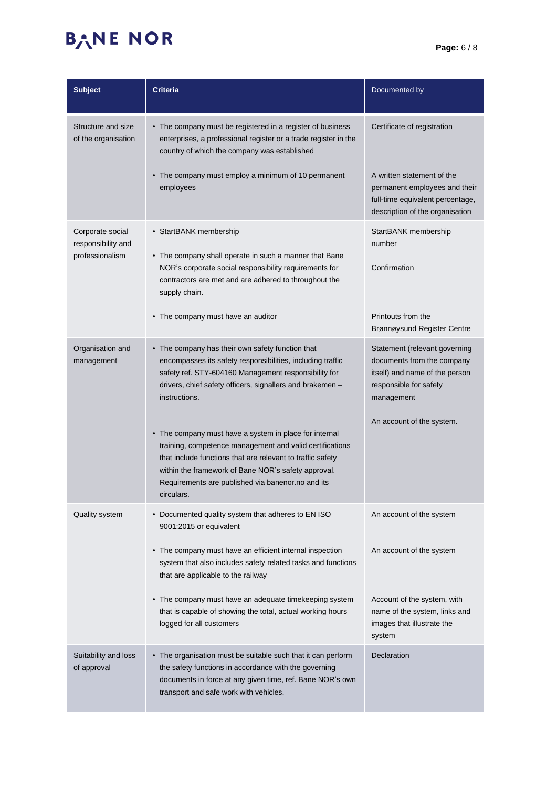| <b>Subject</b>                                            | <b>Criteria</b>                                                                                                                                                                                                                                                                                            | Documented by                                                                                                                         |
|-----------------------------------------------------------|------------------------------------------------------------------------------------------------------------------------------------------------------------------------------------------------------------------------------------------------------------------------------------------------------------|---------------------------------------------------------------------------------------------------------------------------------------|
| Structure and size<br>of the organisation                 | • The company must be registered in a register of business<br>enterprises, a professional register or a trade register in the<br>country of which the company was established                                                                                                                              | Certificate of registration                                                                                                           |
|                                                           | • The company must employ a minimum of 10 permanent<br>employees                                                                                                                                                                                                                                           | A written statement of the<br>permanent employees and their<br>full-time equivalent percentage,<br>description of the organisation    |
| Corporate social<br>responsibility and<br>professionalism | • StartBANK membership                                                                                                                                                                                                                                                                                     | StartBANK membership<br>number                                                                                                        |
|                                                           | • The company shall operate in such a manner that Bane<br>NOR's corporate social responsibility requirements for<br>contractors are met and are adhered to throughout the<br>supply chain.                                                                                                                 | Confirmation                                                                                                                          |
|                                                           | • The company must have an auditor                                                                                                                                                                                                                                                                         | Printouts from the<br>Brønnøysund Register Centre                                                                                     |
| Organisation and<br>management                            | • The company has their own safety function that<br>encompasses its safety responsibilities, including traffic<br>safety ref. STY-604160 Management responsibility for<br>drivers, chief safety officers, signallers and brakemen -<br>instructions.                                                       | Statement (relevant governing<br>documents from the company<br>itself) and name of the person<br>responsible for safety<br>management |
|                                                           | • The company must have a system in place for internal<br>training, competence management and valid certifications<br>that include functions that are relevant to traffic safety<br>within the framework of Bane NOR's safety approval.<br>Requirements are published via banenor.no and its<br>circulars. | An account of the system.                                                                                                             |
| Quality system                                            | • Documented quality system that adheres to EN ISO<br>9001:2015 or equivalent                                                                                                                                                                                                                              | An account of the system                                                                                                              |
|                                                           | • The company must have an efficient internal inspection<br>system that also includes safety related tasks and functions<br>that are applicable to the railway                                                                                                                                             | An account of the system                                                                                                              |
|                                                           | • The company must have an adequate timekeeping system<br>that is capable of showing the total, actual working hours<br>logged for all customers                                                                                                                                                           | Account of the system, with<br>name of the system, links and<br>images that illustrate the<br>system                                  |
| Suitability and loss<br>of approval                       | • The organisation must be suitable such that it can perform<br>the safety functions in accordance with the governing<br>documents in force at any given time, ref. Bane NOR's own<br>transport and safe work with vehicles.                                                                               | Declaration                                                                                                                           |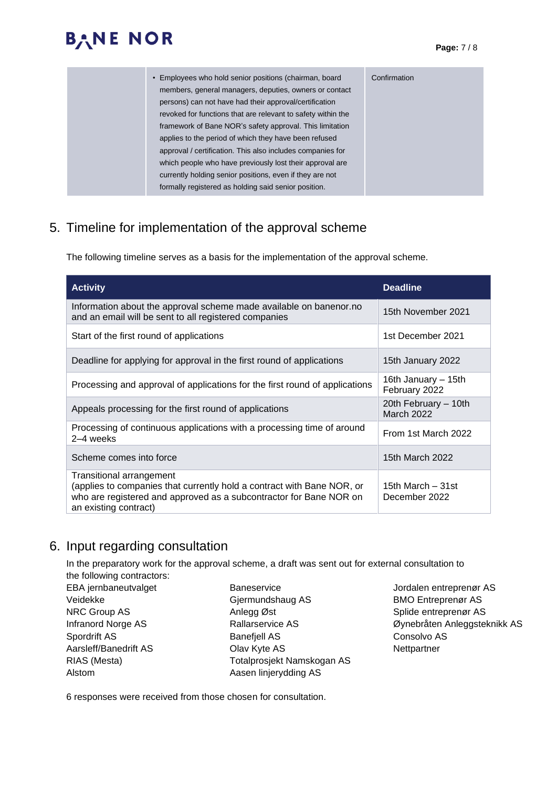| • Employees who hold senior positions (chairman, board       | Confirmation |
|--------------------------------------------------------------|--------------|
| members, general managers, deputies, owners or contact       |              |
| persons) can not have had their approval/certification       |              |
| revoked for functions that are relevant to safety within the |              |
| framework of Bane NOR's safety approval. This limitation     |              |
| applies to the period of which they have been refused        |              |
| approval / certification. This also includes companies for   |              |
| which people who have previously lost their approval are     |              |
| currently holding senior positions, even if they are not     |              |
| formally registered as holding said senior position.         |              |
|                                                              |              |

### 5. Timeline for implementation of the approval scheme

The following timeline serves as a basis for the implementation of the approval scheme.

| <b>Activity</b>                                                                                                                                                                                   | <b>Deadline</b>                      |
|---------------------------------------------------------------------------------------------------------------------------------------------------------------------------------------------------|--------------------------------------|
| Information about the approval scheme made available on banenor.no<br>and an email will be sent to all registered companies                                                                       | 15th November 2021                   |
| Start of the first round of applications                                                                                                                                                          | 1st December 2021                    |
| Deadline for applying for approval in the first round of applications                                                                                                                             | 15th January 2022                    |
| Processing and approval of applications for the first round of applications                                                                                                                       | 16th January – 15th<br>February 2022 |
| Appeals processing for the first round of applications                                                                                                                                            | 20th February - 10th<br>March 2022   |
| Processing of continuous applications with a processing time of around<br>2-4 weeks                                                                                                               | From 1st March 2022                  |
| Scheme comes into force                                                                                                                                                                           | 15th March 2022                      |
| Transitional arrangement<br>(applies to companies that currently hold a contract with Bane NOR, or<br>who are registered and approved as a subcontractor for Bane NOR on<br>an existing contract) | 15th March – 31st<br>December 2022   |

#### 6. Input regarding consultation

In the preparatory work for the approval scheme, a draft was sent out for external consultation to the following contractors:

EBA jernbaneutvalget Veidekke NRC Group AS Infranord Norge AS Spordrift AS Aarsleff/Banedrift AS RIAS (Mesta) Alstom

- **Baneservice** Gjermundshaug AS Anlegg Øst Rallarservice AS Banefjell AS Olav Kyte AS Totalprosjekt Namskogan AS Aasen linjerydding AS
- Jordalen entreprenør AS BMO Entreprenør AS Splide entreprenør AS Øynebråten Anleggsteknikk AS Consolvo AS **Nettpartner**

6 responses were received from those chosen for consultation.